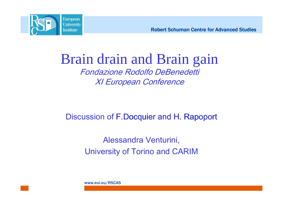

### Brain drain and Brain gainFondazione Rodolfo DeBenedetti XI European Conference

#### Discussion of F.Docquier and H. Rapoport

Alessandra Venturini,University of Torino and CARIM

www.eui.eu/RSCAS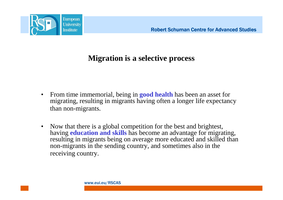

#### **Migration is a selective process**

- •From time immemorial, being in **good health** has been an asset for minimize according migrating, resulting in migrants having often a longer life expectancy than non-migrants.
- • Now that there is a global competition for the best and brightest, having **education and skills** has become an advantage for migrating, resulting in migrants being on average more educated and skilled than non-migrants in the sending country, and sometimes also in the receiving country.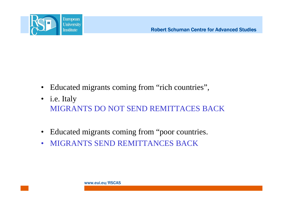

- $\bullet$ Educated migrants coming from "rich countries",
- i.e. Italy MIGRANTS DO NOT SEND REMITTACES BACK
- •Educated migrants coming from "poor countries.
- •MIGRANTS SEND REMITTANCES BACK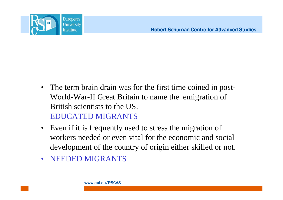

- The term brain drain was for the first time coined in post-World-War-II Great Britain to name the emigration of British scientists to the US. EDUCATED MIGRANTS
- Even if it is frequently used to stress the migration of workers needed or even vital for the economic and social development of the country of origin either skilled or not.
- NEEDED MIGRANTS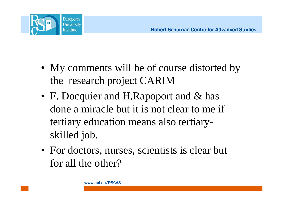

- My comments will be of course distorted by the research project CARIM
- F. Docquier and H.Rapoport and & has done a miracle but it is not clear to me if tertiary education means also tertiaryskilled job.
- For doctors, nurses, scientists is clear but for all the other?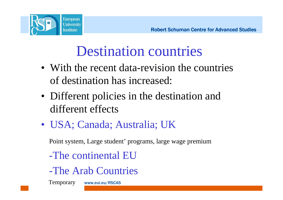

## Destination countries

- With the recent data-revision the countries of destination has increased:
- Different policies in the destination and different effects
- USA; Canada; Australia; UK

Point system, Large student' programs, large wage premium

- -The continental EU
- -The Arab Countries

www.eui.eu/RSCASTemporary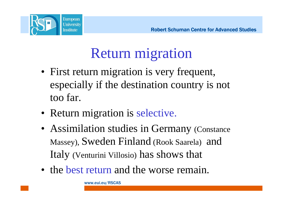



# Return migration

- First return migration is very frequent, especially if the destination country is not too far.
- Return migration is selective.
- Assimilation studies in Germany (Constance Massey), Sweden Finland (Rook Saarela) and Italy (Venturini Villosio) has shows that
- the best return and the worse remain.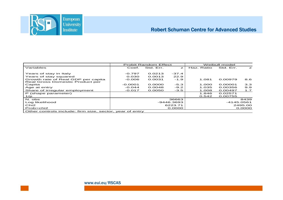

#### Robert Schuman Centre for Advanced Studies

|                                                          |           | <b>Probit Random Effect</b> | Weibull model |            |           |              |  |
|----------------------------------------------------------|-----------|-----------------------------|---------------|------------|-----------|--------------|--|
| Variables                                                | Coef.     | Std. Err.                   | $\geq$        | Haz. Ratio | Std. Err. | $\mathbb{Z}$ |  |
|                                                          |           |                             |               |            |           |              |  |
| Years of stay in Italy                                   | $-0.797$  | 0.0213                      | $-37.4$       |            |           |              |  |
| Years of stay squared                                    | 0.030     | 0.0013                      | 22.9          |            |           |              |  |
| Growth rate of Real GDP per capita                       | $-0.006$  | 0.0031                      | $-1.9$        | 1.081      | 0.00979   | 8.6          |  |
| <b>Real Gross Domestic Product per</b>                   |           |                             |               |            |           |              |  |
| Capita                                                   | $-0.0001$ | 0.0000                      | $-5.3$        | 1.000      | 0.00001   | 3.3          |  |
| Age at entry                                             | $-0.044$  | 0.0048                      | $-9.2$        | 1.035      | 0.00356   | 9.9          |  |
| Share of irregular employment                            | $-0.017$  | 0.0050                      | $-3.5$        | 1.008      | 0.00497   | 1.7          |  |
| P (shape parameter)                                      |           |                             |               | 1.846      | 0.02571   |              |  |
| 1/p                                                      |           |                             |               | 0.542      | 0.00755   |              |  |
| N. obs                                                   |           |                             | 36663         |            |           | 8439         |  |
| Log likelihood                                           |           | $-9446.3693$                | -4145.0561    |            |           |              |  |
| Chi <sub>2</sub>                                         |           | 6223.71                     | 2495.00       |            |           |              |  |
| Prob>chi2                                                |           |                             | 0.0000        |            |           |              |  |
| Other controls include: firm size, sector, year of entry |           |                             |               |            |           |              |  |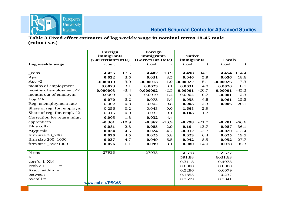

#### Robert Schuman Centre for Advanced Studies

**Table 3 Fixed effect estimates of log weekly wage in nominal terms 18-45 male (robust s.e.)** 

|                             | Foreign          |         | Foreign          |         |               |              |            |             |  |
|-----------------------------|------------------|---------|------------------|---------|---------------|--------------|------------|-------------|--|
|                             | immigrants       |         | immigrants       |         | <b>Native</b> |              |            |             |  |
|                             | (Correction=IMR) |         | (Corr.=Haz.Rate) |         | immigrants    |              | Locals     |             |  |
| Log weekly wage             | Coef.            | t       | Coef.            | t       | Coef.         | $\mathbf{f}$ | Coef.      | $\mathbf t$ |  |
|                             |                  |         |                  |         |               |              |            |             |  |
| cons                        | 4.425            | 17.5    | 4.482            | 18.9    | 4.498         | 34.1         | 4.454      | 114.4       |  |
| Age                         | 0.032            | 3.5     | 0.031            | 3.5     | 0.046         | 5.9          | 0.056      | 18.6        |  |
| Age $^1$ 2                  | $-0.00019$       | $-3.0$  | $-0.00013$       | $-1.9$  | $-0.00022$    | $-5.1$       | $-0.00026$ | $-17.3$     |  |
| months of employment        | 0.0023           | 3.1     | 0.0023           | 3.1     | 0.0031        | 4.8          | 0.0020     | 8.1         |  |
| months of employment ^2     | $-0.000003$      | $-3.4$  | $-0.000002$      | $-2.5$  | $-0.00001$    | $-20.7$      | $-0.00001$ | $-45.2$     |  |
| months out of employm.      | 0.0009           | 1.3     | 0.0010           | 1.4     | $-0.0004$     | $-0.7$       | $-0.001$   | $-2.3$      |  |
| Log VA                      | 0.070            | 3.2     | 0.073            | 3.4     | 0.055         | 4.8          | 0.061      | 15.5        |  |
| Reg. unemployment rate      | 0.002            | 0.8     | 0.002            | 0.8     | $-0.003$      | $-2.3$       | $-0.006$   | $-20.1$     |  |
| Share of reg. for. employm. | 0.256            | 0.2     | 0.043            | 0.0     | $-1.668$      | $-2.9$       |            |             |  |
| Share of reg. for. empl. ^2 | 0.016            | 0.0     | $-0.032$         | $-0.1$  | 0.103         | 1.7          |            |             |  |
| Correction for return migr. | $-0.005$         | 1.8     | $-0.032$         | $-4.4$  |               |              |            |             |  |
| apprentices                 | $-0.361$         | $-10.9$ | $-0.362$         | $-10.9$ | $-0.298$      | $-21.7$      | $-0.281$   | $-66.6$     |  |
| Blue collar                 | $-0.081$         | $-2.8$  | $-0.085$         | $-2.9$  | $-0.104$      | $-13.7$      | $-0.087$   | $-36.1$     |  |
| Atypicals                   | 0.024            | 4.5     | 0.024            | 4.7     | $-0.012$      | $-2.7$       | $-0.020$   | $-13.4$     |  |
| firm size 20_200            | 0.020            | 4.5     | 0.025            | 5.8     | 0.023         | 6.4          | 0.025      | 19.5        |  |
| firm size 200_1000          | 0.037            | 4.7     | 0.049            | 6.5     | 0.042         | 8.5          | 0.052      | 27.7        |  |
| firm size _over1000         | 0.076            | 6.1     | 0.099            | 8.1     | 0.080         | 14.0         | 0.078      | 35.3        |  |
|                             |                  |         |                  |         |               |              |            |             |  |
| N obs                       | 27933            |         | 27933            |         | 60678         |              | 359527     |             |  |
| $\mathbf F$                 |                  |         |                  |         | 591.88        |              | 6031.63    |             |  |
| $corr(u_i, Xb) =$           |                  |         |                  |         | $-0.3118$     |              | $-0.4073$  |             |  |
| Prob > F<br>$=$             |                  |         |                  |         | 0.0000        |              | 0.0000     |             |  |
| $R-sq$ : within =           |                  |         |                  |         | 0.5296        |              | 0.6079     |             |  |
| $between =$                 |                  |         |                  |         | 0.1855        |              | 0.237      |             |  |
| $overall =$                 |                  |         |                  |         | 0.2599        |              | 0.3341     |             |  |
|                             | www.eui.eu/RSCAS |         |                  |         |               |              |            |             |  |
|                             |                  |         |                  |         |               |              |            |             |  |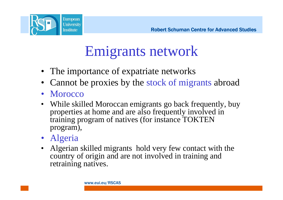



### Emigrants network

- The importance of expatriate networks
- Cannot be proxies by the stock of migrants abroad
- Morocco
- While skilled Moroccan emigrants go back frequently, buy properties at home and are also frequently involved in training program of natives (for instance TOKTEN program),
- Algeria
- Algerian skilled migrants hold very few contact with the country of origin and are not involved in training and retraining natives.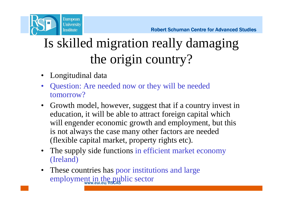

# Is skilled migration really damaging the origin country?

•Longitudinal data

**European University Institute** 

- • Question: Are needed now or they will be needed tomorrow?
- Growth model, however, suggest that if a country invest in education, it will be able to attract foreign capital which will engender economic growth and employment, but this is not always the case many other factors are needed (flexible capital market, property rights etc).
- The supply side functions in efficient market economy (Ireland)
- employment in the public sector • These countries has poor institutions and large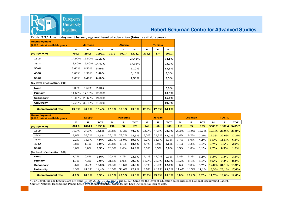

#### Robert Schuman Centre for Advanced Studies

| <b>Unemployment</b><br>(2007, latest available year) | <b>Morocco</b> |        |            | <b>Algeria</b>   |       | <b>Tunisia</b> |               |       |            |         |       |            |              |        |            |
|------------------------------------------------------|----------------|--------|------------|------------------|-------|----------------|---------------|-------|------------|---------|-------|------------|--------------|--------|------------|
|                                                      | м              | F.     | <b>TOT</b> | м                | F     | <b>TOT</b>     | M             | F.    | <b>TOT</b> |         |       |            |              |        |            |
| (by age, 000)                                        | 794,5          | 297,6  | 1092,1     | 1072             | 302,7 | 1374,7         | 334,1         | 174   | 508,1      |         |       |            |              |        |            |
| $15 - 24$                                            | 17,90%         | 15,50% | 17,20%     |                  |       | 27,40%         |               |       | 34,1%      |         |       |            |              |        |            |
| 25-34                                                | 13,80%         | 15,80% | 14,40%     |                  |       | 17,30%         |               |       | 23,9%      |         |       |            |              |        |            |
| $35 - 44$                                            | 5,60%          | 6,50%  | 5,90%      |                  |       | 6,10%          |               |       | 13,3%      |         |       |            |              |        |            |
| 45-54                                                | 2,80%          | 1,50%  | 2,40%      |                  |       | 3,10%          |               |       | 3,3%       |         |       |            |              |        |            |
| 55-64                                                | 0,60%          | 0,40%  | 0,60%      |                  |       | 1,50%          |               |       | 2,5%       |         |       |            |              |        |            |
| (by level of education, 000)                         |                |        |            |                  |       |                |               |       |            |         |       |            |              |        |            |
| <b>None</b>                                          | 3,00%          | 1,60%  | 2,40%      |                  |       |                |               |       | 5,9%       |         |       |            |              |        |            |
| Primary                                              | 11,60%         | 14,10% | 12,00%     |                  |       |                |               |       | 13,5%      |         |       |            |              |        |            |
| Secondary                                            | 18,00%         | 25,60% | 19,80%     |                  |       |                |               |       | 15,4%      |         |       |            |              |        |            |
| <b>University</b>                                    | 17,20%         | 30,40% | 21,80%     |                  |       |                |               |       | 19,0%      |         |       |            |              |        |            |
| <b>Unemployment rate</b>                             | 13,9%          | 20,9%  | 15,4%      | 12,9%            | 18,3% | 13,8%          | 12,8%         | 17,8% | 14,1%      |         |       |            |              |        |            |
| <b>Unemployment</b><br>(2007, latest available year) | Egypt*         |        |            | <b>Palestine</b> |       |                | <b>Jordan</b> |       |            | Lebanon |       |            | <b>TOTAL</b> |        |            |
|                                                      | М              | F      | <b>TOT</b> | М                | F     | <b>TOT</b>     | М             | F     | <b>TOT</b> | М       | F     | <b>TOT</b> | M            | F      | <b>TOT</b> |
| (by age, 000)                                        | 861,6          | 1074,1 | 1935,8     | <b>190</b>       | 38    | 228            | 142           | 66    | 208        | 111     | 35    | 153        | 3505,2       | 1987,4 | 5499,7     |
| $15 - 24$                                            | 10.3%          | 27,0%  | 14,6%      | 38,8%            | 47,3% | 40,2%          | 23,0%         | 47,8% | 28,3%      | 20,0%   | 18,9% | 19,7%      | 17,1%        | 26,0%  | 21,8%      |
| 25-34                                                | 9,6%           | 38,7%  | 17,5%      | 25,1%            | 27,2% | 25,5%          | 8,0%          | 24,8% | 12,0%      | 6,4%    | 9,2%  | 7,2%       | 12,3%        | 32,6%  | 17,2%      |
| $35 - 44$                                            | 2,2%           | 13,1%  | 4,9%       | 21,3%            | 11,0% | 19,5%          | 5,2%          | 11,6% | 6,3%       | 3,7%    | 6,0%  | 4,2%       | 5,5%         | 11,5%  | 6,8%       |
| 45-54                                                | 0.8%           | 1.1%   | 0.9%       | 20,8%            | 6.1%  | 18,4%          | 4,4%          | 5,9%  | 4,6%       | 3.1%    | 3.3%  | 3,1%       | 3,7%         | 1,5%   | 2,9%       |
| 55-64                                                | 0.6%           | 0.0%   | 0,5%       | 20,3%            | 2,6%  | 16,9%          | 3,8%          | 3,5%  | 3,8%       | 3,3%    | 1,8%  | 3,1%       | 2,7%         | 0.3%   | 1,8%       |
| (by level of education, 000)                         |                |        |            |                  |       |                |               |       |            |         |       |            |              |        |            |
| <b>None</b>                                          | 1,2%           | 0,4%   | 0.9%       | 30,4%            | 4,7%  | 23,8%          | 9,1%          | 11,0% | 9,3%       | 5,8%    | 5,3%  | 5,2%       | 5,3%         | 1,3%   | 3,8%       |
| Primary                                              | 1,7%           | 4,3%   | 2,0%       | 31,5%            | 6,0%  | 29,0%          | 11,8%         | 26,3% | 12,6%      | 15,2%   | 8,1%  | 9,1%       | 9,5%         | 7.3%   | 8,4%       |
| <b>Secondary</b>                                     | 6,6%           | 34,2%  | 13,8%      | 24,3%            | 16,6% | 23,6%          | 8,1%          | 25,6% | 12,4%      | 9,6%    | 9,8%  | 9,7%       | 12,8%        | 31,1%  | 15,9%      |
| <b>University</b>                                    | 9,3%           | 24,9%  | 14,4%      | 18,5%            | 39,4% | 27,2%          | 9,6%          | 26,1% | 15,5%      | 11,4%   | 10,9% | 11,1%      | 13,3%        | 26,1%  | 17,6%      |
| <b>Unemployment rate</b>                             | 4,7%           | 18,6%  | 8,3%       | 26,5%            | 23,5% | 25,6%          | 12,0%         | 25,0% | 13,8%      | 8,8%    | 10,2% | 9,2%       | 11,7%        | 19,0%  | 12,6%      |

#### **Table. 3.3.1 Unemployment by sex, age and level of education (latest available year)**

\* For Egypt, the age brackets are different: 15-19, 20-29, 30-39, 40-49 and 50-59. Same for the level of education categories (see National Background Paper).<br>Source: National Background Papers based WHMMGRM sacks Syna has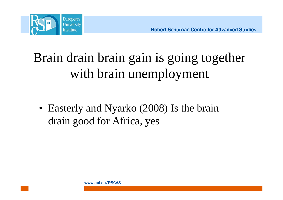

## Brain drain brain gain is going together with brain unemployment

• Easterly and Nyarko (2008) Is the brain drain good for Africa, yes